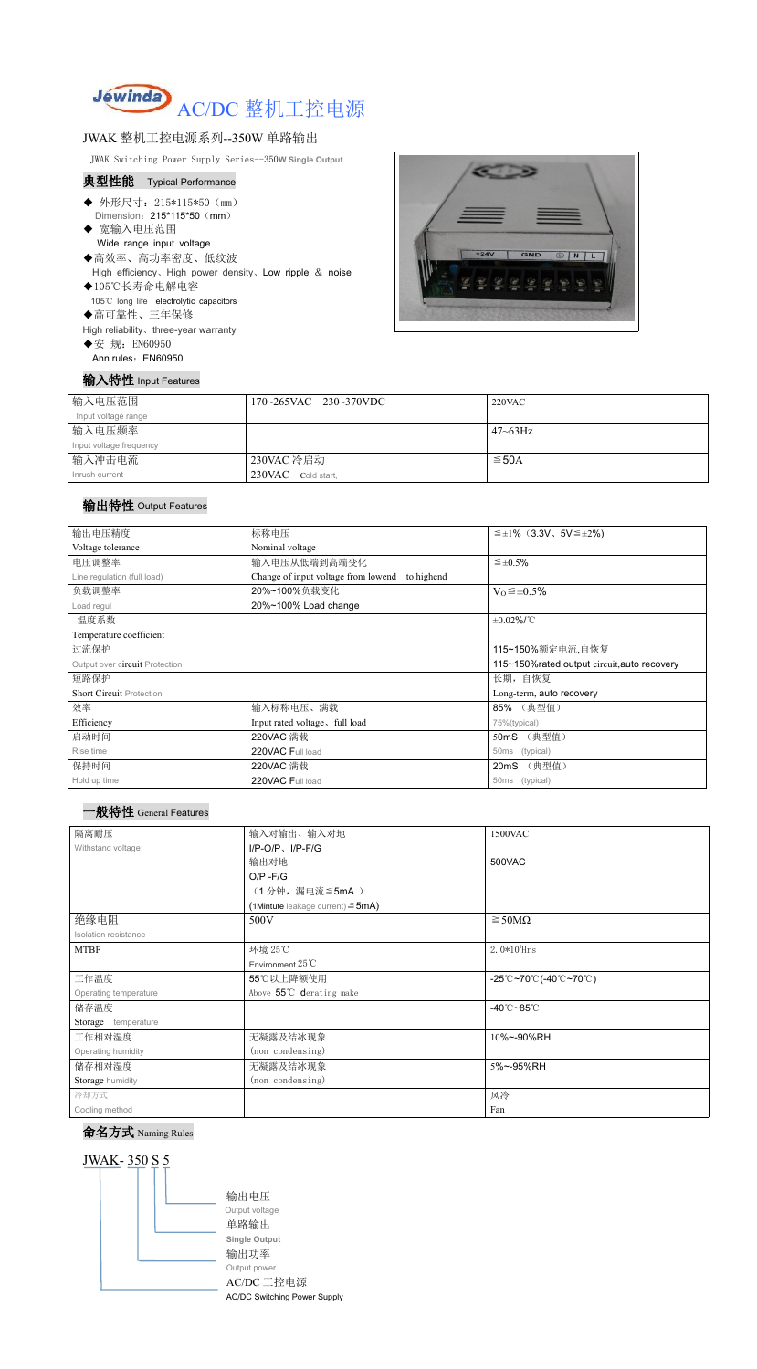

## JWAK 整机工控电源系列--350W 单路输出

JWAK Switching Power Supply Series--350**W Single Output**

### 典型性能 Typical Performance

- ◆ 外形尺寸: 215\*115\*50 (mm) Dimension: 215\*115\*50 (mm)
- ◆ 宽输入电压范围 Wide range input voltage
- ◆高效率、高功率密度、低纹波 High efficiency、High power density、Low ripple & noise
- ◆105℃长寿命电解电容 105℃ long life electrolytic capacitors ◆高可靠性、三年保修

High reliability、three-year warranty

◆安 规: EN60950 Ann rules: EN60950

#### 输入特性 Input Features



| 输入电压范围                  | $170 - 265$ VAC $230 - 370$ VDC | $220$ VAC    |
|-------------------------|---------------------------------|--------------|
| Input voltage range     |                                 |              |
| 输入电压频率                  |                                 | $47 - 63$ Hz |
| Input voltage frequency |                                 |              |
| 输入冲击电流                  | 230VAC 冷启动                      | $\leq$ 50A   |
| Inrush current          | $230$ VAC Cold start,           |              |

## 输出特性 Output Features



## 命名方式 Naming Rules



| 输出电压精度                          | 标称电压                                              | $\leq \pm 1\%$ (3.3V, 5V ≤ ±2%)              |
|---------------------------------|---------------------------------------------------|----------------------------------------------|
| Voltage tolerance               | Nominal voltage                                   |                                              |
| 电压调整率                           | 输入电压从低端到高端变化                                      | $\leq$ ±0.5%                                 |
| Line regulation (full load)     | Change of input voltage from lowend<br>to highend |                                              |
| 负载调整率                           | 20%~100%负载变化                                      | $V_0 \leq \pm 0.5\%$                         |
| Load regul                      | 20%~100% Load change                              |                                              |
| 温度系数                            |                                                   | $\pm 0.02\%$ /°C                             |
| Temperature coefficient         |                                                   |                                              |
| 过流保护                            |                                                   | 115~150%额定电流,自恢复                             |
| Output over circuit Protection  |                                                   | 115~150% rated output circuit, auto recovery |
| 短路保护                            |                                                   | 长期, 自恢复                                      |
| <b>Short Circuit Protection</b> |                                                   | Long-term, auto recovery                     |
| 效率                              | 输入标称电压、满载                                         | 85% (典型值)                                    |
| Efficiency                      | Input rated voltage, full load                    | 75%(typical)                                 |
| 启动时间                            | 220VAC 满载                                         | 50mS (典型值)                                   |
| Rise time                       | 220VAC Full load                                  | 50ms (typical)                               |
| 保持时间                            | 220VAC 满载                                         | 20mS (典型值)                                   |
| Hold up time                    | 220VAC Full load                                  | 50ms (typical)                               |

| 隔离耐压                  | 输入对输出、输入对地                             | 1500VAC             |
|-----------------------|----------------------------------------|---------------------|
| Withstand voltage     | $I/P$ -O/P、 $I/P$ -F/G                 |                     |
|                       | 输出对地                                   | 500VAC              |
|                       | $O/P - F/G$                            |                     |
|                       | (1分钟,漏电流 ≦ 5mA)                        |                     |
|                       | (1Mintute leakage current) $\leq$ 5mA) |                     |
| 绝缘电阻                  | 500V                                   | $\geq$ 50M $\Omega$ |
| Isolation resistance  |                                        |                     |
| <b>MTBF</b>           | 环境 25℃                                 | $2.0*105$ Hrs       |
|                       | Environment $25^{\circ}$ C             |                     |
| 工作温度                  | 55℃以上降额使用                              | -25℃~70℃(-40℃~70℃)  |
| Operating temperature | Above 55°C derating make               |                     |
| 储存温度                  |                                        | -40℃~85℃            |
| Storage temperature   |                                        |                     |
| 工作相对湿度                | 无凝露及结冰现象                               | 10%~-90%RH          |
| Operating humidity    | (non condensing)                       |                     |
| 储存相对湿度                | 无凝露及结冰现象                               | 5%~-95%RH           |
| Storage humidity      | (non condensing)                       |                     |
| 冷却方式                  |                                        | 风冷                  |
| Cooling method        |                                        | Fan                 |